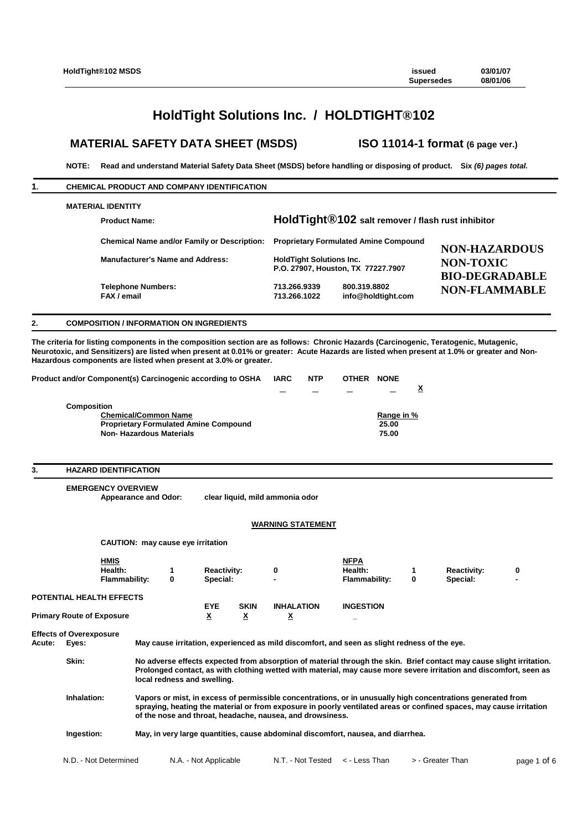# **HoldTight Solutions Inc. / HOLDTIGHT®102**

# **MATERIAL SAFETY DATA SHEET (MSDS) ISO 11014-1 format (6 page ver.)**

**NOTE: Read and understand Material Safety Data Sheet (MSDS) before handling or disposing of product. Six** *(6) pages total.*

# **1. CHEMICAL PRODUCT AND COMPANY IDENTIFICATION MATERIAL IDENTITY Product Name: HoldTight®102 salt remover / flash rust inhibitor Chemical Name and/or Family or Description: Proprietary Formulated Amine Compound Manufacturer's Name and Address: HoldTight Solutions Inc. P.O. 27907, Houston, TX 77227.7907 Telephone Numbers: 713.266.9339 800.319.8802**  $info@holdtight.com$ **NON-HAZARDOUS NON-TOXIC BIO-DEGRADABLE NON-FLAMMABLE**

# **2. COMPOSITION / INFORMATION ON INGREDIENTS**

**The criteria for listing components in the composition section are as follows: Chronic Hazards (Carcinogenic, Teratogenic, Mutagenic, Neurotoxic, and Sensitizers) are listed when present at 0.01% or greater: Acute Hazards are listed when present at 1.0% or greater and Non-Hazardous components are listed when present at 3.0% or greater.**

| Product and/or Component(s) Carcinogenic according to OSHA | IARC | <b>NTP</b> | <b>OTHER</b> | <b>NONE</b> |          |
|------------------------------------------------------------|------|------------|--------------|-------------|----------|
|                                                            |      |            |              |             | $\Delta$ |
| Composition                                                |      |            |              |             |          |
| <b>Chemical/Common Name</b>                                |      |            |              | Range in %  |          |
| <b>Proprietary Formulated Amine Compound</b>               |      |            |              | 25.00       |          |
| <b>Non-Hazardous Materials</b>                             |      |            |              | 75.00       |          |

#### **3. HAZARD IDENTIFICATION**

**EMERGENCY OVERVIEW Appearance and Odor: clear liquid, mild ammonia odor WARNING STATEMENT**

**CAUTION: may cause eye irritation**

|                                  |                                         | <b>HMIS</b><br>Health:<br><b>Flammability:</b> | 0                                                                                                                                                                                                                                                                                               | <b>Reactivity:</b><br>Special: |                  | 0                 | <b>NFPA</b><br>Health:<br><b>Flammability:</b>                                                                                                                                                                                             | 0 | <b>Reactivity:</b><br>Special: | 0<br>$\blacksquare$ |
|----------------------------------|-----------------------------------------|------------------------------------------------|-------------------------------------------------------------------------------------------------------------------------------------------------------------------------------------------------------------------------------------------------------------------------------------------------|--------------------------------|------------------|-------------------|--------------------------------------------------------------------------------------------------------------------------------------------------------------------------------------------------------------------------------------------|---|--------------------------------|---------------------|
|                                  | <b>POTENTIAL HEALTH EFFECTS</b>         |                                                |                                                                                                                                                                                                                                                                                                 |                                |                  |                   |                                                                                                                                                                                                                                            |   |                                |                     |
| <b>Primary Route of Exposure</b> |                                         | <b>EYE</b><br><u>x</u>                         | <b>SKIN</b><br><u>x</u>                                                                                                                                                                                                                                                                         | <b>INHALATION</b><br><u>x</u>  | <b>INGESTION</b> |                   |                                                                                                                                                                                                                                            |   |                                |                     |
| Acute:                           | <b>Effects of Overexposure</b><br>Eyes: |                                                |                                                                                                                                                                                                                                                                                                 |                                |                  |                   | May cause irritation, experienced as mild discomfort, and seen as slight redness of the eye.                                                                                                                                               |   |                                |                     |
|                                  | Skin:                                   |                                                |                                                                                                                                                                                                                                                                                                 | local redness and swelling.    |                  |                   | No adverse effects expected from absorption of material through the skin. Brief contact may cause slight irritation.<br>Prolonged contact, as with clothing wetted with material, may cause more severe irritation and discomfort, seen as |   |                                |                     |
|                                  | Inhalation:                             |                                                | Vapors or mist, in excess of permissible concentrations, or in unusually high concentrations generated from<br>spraying, heating the material or from exposure in poorly ventilated areas or confined spaces, may cause irritation<br>of the nose and throat, headache, nausea, and drowsiness. |                                |                  |                   |                                                                                                                                                                                                                                            |   |                                |                     |
|                                  | Ingestion:                              |                                                | May, in very large quantities, cause abdominal discomfort, nausea, and diarrhea.                                                                                                                                                                                                                |                                |                  |                   |                                                                                                                                                                                                                                            |   |                                |                     |
|                                  | N.D. - Not Determined                   |                                                |                                                                                                                                                                                                                                                                                                 | N.A. - Not Applicable          |                  | N.T. - Not Tested | < - Less Than                                                                                                                                                                                                                              |   | > - Greater Than               | page 1 of 6         |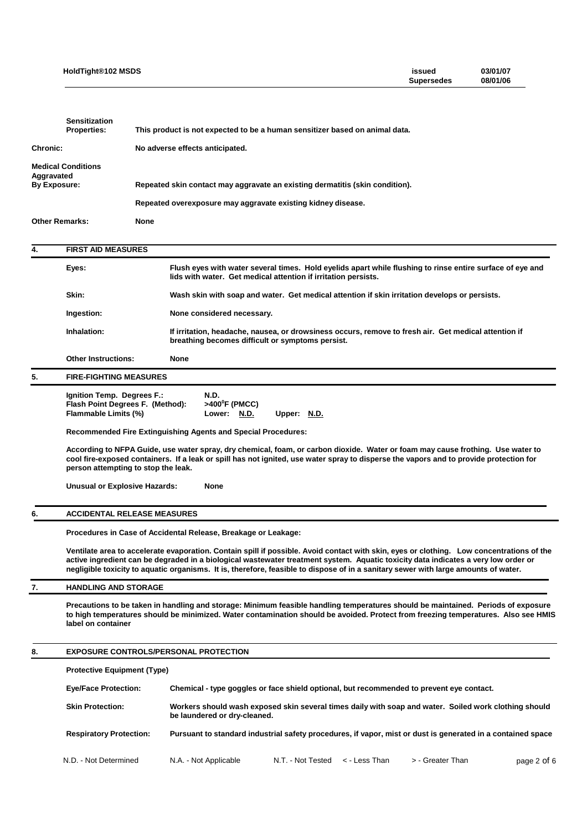|                                   | HoldTight®102 MSDS                                                                                                                                                                                                                                                                                                                                                                                                     |             |                                                                              |                                                                |                   |  |               | issued<br><b>Supersedes</b>                                                                   | 03/01/07<br>08/01/06                                                                                                                                                                                                                                                    |
|-----------------------------------|------------------------------------------------------------------------------------------------------------------------------------------------------------------------------------------------------------------------------------------------------------------------------------------------------------------------------------------------------------------------------------------------------------------------|-------------|------------------------------------------------------------------------------|----------------------------------------------------------------|-------------------|--|---------------|-----------------------------------------------------------------------------------------------|-------------------------------------------------------------------------------------------------------------------------------------------------------------------------------------------------------------------------------------------------------------------------|
|                                   | <b>Sensitization</b>                                                                                                                                                                                                                                                                                                                                                                                                   |             |                                                                              |                                                                |                   |  |               |                                                                                               |                                                                                                                                                                                                                                                                         |
|                                   | <b>Properties:</b>                                                                                                                                                                                                                                                                                                                                                                                                     |             | This product is not expected to be a human sensitizer based on animal data.  |                                                                |                   |  |               |                                                                                               |                                                                                                                                                                                                                                                                         |
| <b>Chronic:</b>                   |                                                                                                                                                                                                                                                                                                                                                                                                                        |             | No adverse effects anticipated.                                              |                                                                |                   |  |               |                                                                                               |                                                                                                                                                                                                                                                                         |
| Aggravated<br><b>By Exposure:</b> | <b>Medical Conditions</b>                                                                                                                                                                                                                                                                                                                                                                                              |             | Repeated skin contact may aggravate an existing dermatitis (skin condition). |                                                                |                   |  |               |                                                                                               |                                                                                                                                                                                                                                                                         |
|                                   |                                                                                                                                                                                                                                                                                                                                                                                                                        |             | Repeated overexposure may aggravate existing kidney disease.                 |                                                                |                   |  |               |                                                                                               |                                                                                                                                                                                                                                                                         |
| <b>Other Remarks:</b>             |                                                                                                                                                                                                                                                                                                                                                                                                                        | <b>None</b> |                                                                              |                                                                |                   |  |               |                                                                                               |                                                                                                                                                                                                                                                                         |
| 4.                                | <b>FIRST AID MEASURES</b>                                                                                                                                                                                                                                                                                                                                                                                              |             |                                                                              |                                                                |                   |  |               |                                                                                               |                                                                                                                                                                                                                                                                         |
|                                   | Eyes:                                                                                                                                                                                                                                                                                                                                                                                                                  |             |                                                                              | lids with water. Get medical attention if irritation persists. |                   |  |               |                                                                                               | Flush eyes with water several times. Hold eyelids apart while flushing to rinse entire surface of eye and                                                                                                                                                               |
|                                   | Skin:                                                                                                                                                                                                                                                                                                                                                                                                                  |             |                                                                              |                                                                |                   |  |               | Wash skin with soap and water. Get medical attention if skin irritation develops or persists. |                                                                                                                                                                                                                                                                         |
|                                   | Ingestion:                                                                                                                                                                                                                                                                                                                                                                                                             |             |                                                                              | None considered necessary.                                     |                   |  |               |                                                                                               |                                                                                                                                                                                                                                                                         |
|                                   | Inhalation:                                                                                                                                                                                                                                                                                                                                                                                                            |             |                                                                              | breathing becomes difficult or symptoms persist.               |                   |  |               |                                                                                               | If irritation, headache, nausea, or drowsiness occurs, remove to fresh air. Get medical attention if                                                                                                                                                                    |
|                                   | <b>Other Instructions:</b>                                                                                                                                                                                                                                                                                                                                                                                             |             | None                                                                         |                                                                |                   |  |               |                                                                                               |                                                                                                                                                                                                                                                                         |
| 5.                                | <b>FIRE-FIGHTING MEASURES</b>                                                                                                                                                                                                                                                                                                                                                                                          |             |                                                                              |                                                                |                   |  |               |                                                                                               |                                                                                                                                                                                                                                                                         |
|                                   | Ignition Temp. Degrees F.:<br>Flash Point Degrees F. (Method):<br>Flammable Limits (%)                                                                                                                                                                                                                                                                                                                                 |             | N.D.                                                                         | $>400^{\circ}$ F (PMCC)<br>Lower: N.D.                         | Upper: N.D.       |  |               |                                                                                               |                                                                                                                                                                                                                                                                         |
|                                   | <b>Recommended Fire Extinguishing Agents and Special Procedures:</b><br>According to NFPA Guide, use water spray, dry chemical, foam, or carbon dioxide. Water or foam may cause frothing. Use water to<br>cool fire-exposed containers. If a leak or spill has not ignited, use water spray to disperse the vapors and to provide protection for<br>person attempting to stop the leak.                               |             |                                                                              |                                                                |                   |  |               |                                                                                               |                                                                                                                                                                                                                                                                         |
|                                   |                                                                                                                                                                                                                                                                                                                                                                                                                        |             |                                                                              |                                                                |                   |  |               |                                                                                               |                                                                                                                                                                                                                                                                         |
|                                   | Unusual or Explosive Hazards:                                                                                                                                                                                                                                                                                                                                                                                          |             | <b>None</b>                                                                  |                                                                |                   |  |               |                                                                                               |                                                                                                                                                                                                                                                                         |
| 6.                                | <b>ACCIDENTAL RELEASE MEASURES</b>                                                                                                                                                                                                                                                                                                                                                                                     |             |                                                                              |                                                                |                   |  |               |                                                                                               |                                                                                                                                                                                                                                                                         |
|                                   | Procedures in Case of Accidental Release, Breakage or Leakage:                                                                                                                                                                                                                                                                                                                                                         |             |                                                                              |                                                                |                   |  |               |                                                                                               |                                                                                                                                                                                                                                                                         |
|                                   | Ventilate area to accelerate evaporation. Contain spill if possible. Avoid contact with skin, eyes or clothing. Low concentrations of the<br>active ingredient can be degraded in a biological wastewater treatment system. Aquatic toxicity data indicates a very low order or<br>negligible toxicity to aquatic organisms. It is, therefore, feasible to dispose of in a sanitary sewer with large amounts of water. |             |                                                                              |                                                                |                   |  |               |                                                                                               |                                                                                                                                                                                                                                                                         |
| 7.                                | <b>HANDLING AND STORAGE</b>                                                                                                                                                                                                                                                                                                                                                                                            |             |                                                                              |                                                                |                   |  |               |                                                                                               |                                                                                                                                                                                                                                                                         |
|                                   | label on container                                                                                                                                                                                                                                                                                                                                                                                                     |             |                                                                              |                                                                |                   |  |               |                                                                                               | Precautions to be taken in handling and storage: Minimum feasible handling temperatures should be maintained. Periods of exposure<br>to high temperatures should be minimized. Water contamination should be avoided. Protect from freezing temperatures. Also see HMIS |
| 8.                                | <b>EXPOSURE CONTROLS/PERSONAL PROTECTION</b>                                                                                                                                                                                                                                                                                                                                                                           |             |                                                                              |                                                                |                   |  |               |                                                                                               |                                                                                                                                                                                                                                                                         |
|                                   | <b>Protective Equipment (Type)</b>                                                                                                                                                                                                                                                                                                                                                                                     |             |                                                                              |                                                                |                   |  |               |                                                                                               |                                                                                                                                                                                                                                                                         |
|                                   | <b>Eye/Face Protection:</b>                                                                                                                                                                                                                                                                                                                                                                                            |             |                                                                              |                                                                |                   |  |               | Chemical - type goggles or face shield optional, but recommended to prevent eye contact.      |                                                                                                                                                                                                                                                                         |
|                                   | <b>Skin Protection:</b>                                                                                                                                                                                                                                                                                                                                                                                                |             |                                                                              | be laundered or dry-cleaned.                                   |                   |  |               |                                                                                               | Workers should wash exposed skin several times daily with soap and water. Soiled work clothing should                                                                                                                                                                   |
|                                   | <b>Respiratory Protection:</b>                                                                                                                                                                                                                                                                                                                                                                                         |             |                                                                              |                                                                |                   |  |               |                                                                                               | Pursuant to standard industrial safety procedures, if vapor, mist or dust is generated in a contained space                                                                                                                                                             |
|                                   | N.D. - Not Determined                                                                                                                                                                                                                                                                                                                                                                                                  |             | N.A. - Not Applicable                                                        |                                                                | N.T. - Not Tested |  | < - Less Than | > - Greater Than                                                                              | page 2 of 6                                                                                                                                                                                                                                                             |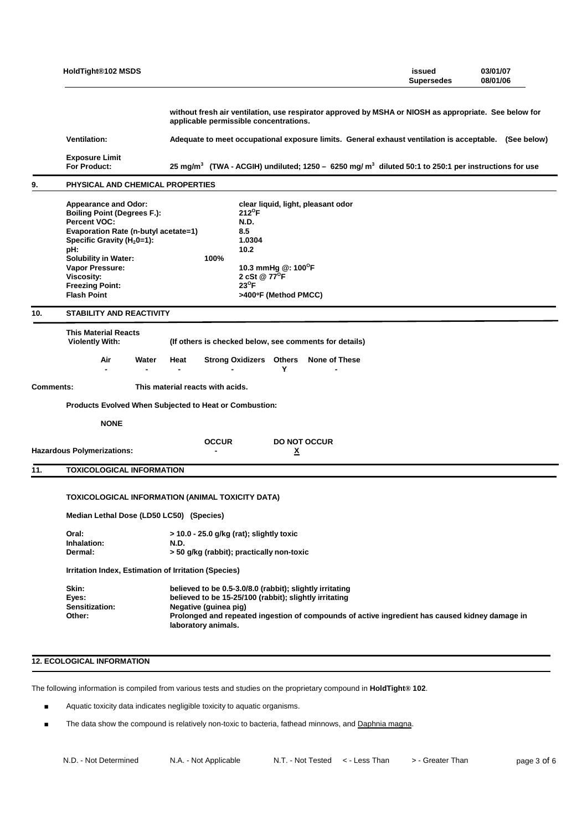|                  | HoldTight®102 MSDS                                                                                                                                                                                                                                                                                |                                                                                                                                                                                                                                                                      | issued<br><b>Supersedes</b> | 03/01/07<br>08/01/06 |  |  |  |  |  |  |  |
|------------------|---------------------------------------------------------------------------------------------------------------------------------------------------------------------------------------------------------------------------------------------------------------------------------------------------|----------------------------------------------------------------------------------------------------------------------------------------------------------------------------------------------------------------------------------------------------------------------|-----------------------------|----------------------|--|--|--|--|--|--|--|
|                  |                                                                                                                                                                                                                                                                                                   | without fresh air ventilation, use respirator approved by MSHA or NIOSH as appropriate. See below for<br>applicable permissible concentrations.                                                                                                                      |                             |                      |  |  |  |  |  |  |  |
|                  | <b>Ventilation:</b>                                                                                                                                                                                                                                                                               | Adequate to meet occupational exposure limits. General exhaust ventilation is acceptable. (See below)                                                                                                                                                                |                             |                      |  |  |  |  |  |  |  |
|                  | <b>Exposure Limit</b><br><b>For Product:</b>                                                                                                                                                                                                                                                      | 25 mg/m <sup>3</sup> (TWA - ACGIH) undiluted; 1250 - 6250 mg/m <sup>3</sup> diluted 50:1 to 250:1 per instructions for use                                                                                                                                           |                             |                      |  |  |  |  |  |  |  |
| 9.               | PHYSICAL AND CHEMICAL PROPERTIES                                                                                                                                                                                                                                                                  |                                                                                                                                                                                                                                                                      |                             |                      |  |  |  |  |  |  |  |
|                  | <b>Appearance and Odor:</b><br><b>Boiling Point (Degrees F.):</b><br>Percent VOC:<br>Evaporation Rate (n-butyl acetate=1)<br>Specific Gravity (H <sub>2</sub> 0=1):<br>pH:<br><b>Solubility in Water:</b><br>Vapor Pressure:<br><b>Viscosity:</b><br><b>Freezing Point:</b><br><b>Flash Point</b> | clear liquid, light, pleasant odor<br>$212^{\circ}$ F<br>N.D.<br>8.5<br>1.0304<br>10.2<br>100%<br>10.3 mmHg @: 100°F<br>2 cSt @ 77 <sup>o</sup> F<br>$23^{\circ}$ F<br>>400°F (Method PMCC)                                                                          |                             |                      |  |  |  |  |  |  |  |
| 10.              | STABILITY AND REACTIVITY                                                                                                                                                                                                                                                                          |                                                                                                                                                                                                                                                                      |                             |                      |  |  |  |  |  |  |  |
|                  | <b>This Material Reacts</b><br><b>Violently With:</b><br>Air<br>Water<br>$\blacksquare$                                                                                                                                                                                                           | (If others is checked below, see comments for details)<br>Heat<br>Strong Oxidizers Others None of These<br>Υ<br>$\blacksquare$                                                                                                                                       |                             |                      |  |  |  |  |  |  |  |
| <b>Comments:</b> |                                                                                                                                                                                                                                                                                                   | This material reacts with acids.                                                                                                                                                                                                                                     |                             |                      |  |  |  |  |  |  |  |
|                  |                                                                                                                                                                                                                                                                                                   | Products Evolved When Subjected to Heat or Combustion:                                                                                                                                                                                                               |                             |                      |  |  |  |  |  |  |  |
|                  | <b>NONE</b>                                                                                                                                                                                                                                                                                       |                                                                                                                                                                                                                                                                      |                             |                      |  |  |  |  |  |  |  |
|                  | <b>Hazardous Polymerizations:</b>                                                                                                                                                                                                                                                                 | <b>OCCUR</b><br><b>DO NOT OCCUR</b><br>$\underline{x}$                                                                                                                                                                                                               |                             |                      |  |  |  |  |  |  |  |
| 11.              | <b>TOXICOLOGICAL INFORMATION</b>                                                                                                                                                                                                                                                                  |                                                                                                                                                                                                                                                                      |                             |                      |  |  |  |  |  |  |  |
|                  |                                                                                                                                                                                                                                                                                                   | TOXICOLOGICAL INFORMATION (ANIMAL TOXICITY DATA)                                                                                                                                                                                                                     |                             |                      |  |  |  |  |  |  |  |
|                  | Median Lethal Dose (LD50 LC50) (Species)                                                                                                                                                                                                                                                          |                                                                                                                                                                                                                                                                      |                             |                      |  |  |  |  |  |  |  |
|                  | Oral:<br>Inhalation:<br>Dermal:                                                                                                                                                                                                                                                                   | $>$ 10.0 - 25.0 g/kg (rat); slightly toxic<br>N.D.<br>> 50 g/kg (rabbit); practically non-toxic                                                                                                                                                                      |                             |                      |  |  |  |  |  |  |  |
|                  | Irritation Index, Estimation of Irritation (Species)                                                                                                                                                                                                                                              |                                                                                                                                                                                                                                                                      |                             |                      |  |  |  |  |  |  |  |
|                  | Skin:<br>Eyes:<br><b>Sensitization:</b><br>Other:                                                                                                                                                                                                                                                 | believed to be 0.5-3.0/8.0 (rabbit); slightly irritating<br>believed to be 15-25/100 (rabbit); slightly irritating<br>Negative (guinea pig)<br>Prolonged and repeated ingestion of compounds of active ingredient has caused kidney damage in<br>laboratory animals. |                             |                      |  |  |  |  |  |  |  |

# **12. ECOLOGICAL INFORMATION**

The following information is compiled from various tests and studies on the proprietary compound in **HoldTight® 102**.

- Aquatic toxicity data indicates negligible toxicity to aquatic organisms.
- The data show the compound is relatively non-toxic to bacteria, fathead minnows, and Daphnia magna.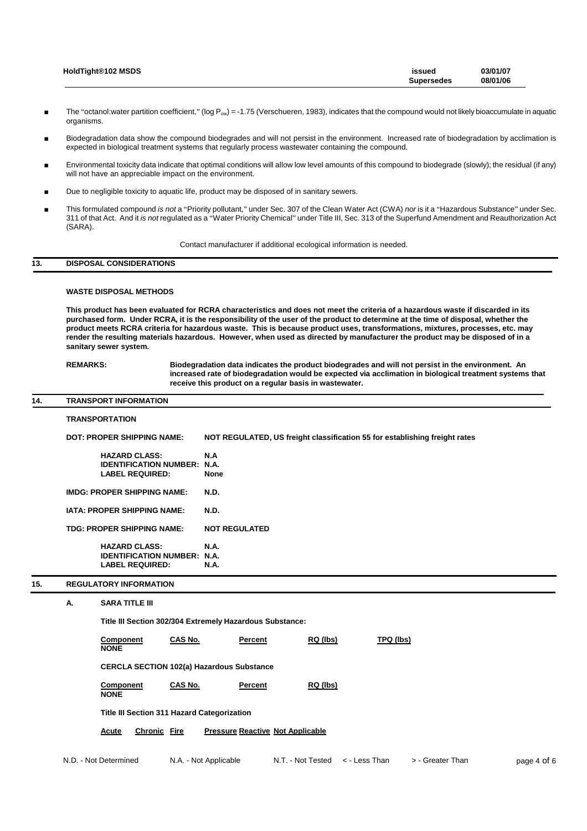| HoldTight®102 MSDS | issued            | 03/01/07 |
|--------------------|-------------------|----------|
|                    | <b>Supersedes</b> | 08/01/06 |

- The "octanol:water partition coefficient," (log P<sub>ow</sub>) = -1.75 (Verschueren, 1983), indicates that the compound would not likely bioaccumulate in aquatic organisms.
- Biodegradation data show the compound biodegrades and will not persist in the environment. Increased rate of biodegradation by acclimation is expected in biological treatment systems that regularly process wastewater containing the compound.
- Environmental toxicity data indicate that optimal conditions will allow low level amounts of this compound to biodegrade (slowly); the residual (if any) will not have an appreciable impact on the environment.
- Due to negligible toxicity to aquatic life, product may be disposed of in sanitary sewers.
- This formulated compound *is not* a "Priority pollutant," under Sec. 307 of the Clean Water Act (CWA) *nor* is it a "Hazardous Substance" under Sec. 311 of that Act. And it *is not* regulated as a "Water Priority Chemical" under Title III, Sec. 313 of the Superfund Amendment and Reauthorization Act (SARA).

Contact manufacturer if additional ecological information is needed.

# **13. DISPOSAL CONSIDERATIONS**

### **WASTE DISPOSAL METHODS**

**This product has been evaluated for RCRA characteristics and does not meet the criteria of a hazardous waste if discarded in its purchased form. Under RCRA, it is the responsibility of the user of the product to determine at the time of disposal, whether the product meets RCRA criteria for hazardous waste. This is because product uses, transformations, mixtures, processes, etc. may render the resulting materials hazardous. However, when used as directed by manufacturer the product may be disposed of in a sanitary sewer system.**

**REMARKS: Biodegradation data indicates the product biodegrades and will not persist in the environment. An increased rate of biodegradation would be expected via acclimation in biological treatment systems that receive this product on a regular basis in wastewater.**

#### **14. TRANSPORT INFORMATION**

**NONE**

|     |                                    | <b>TRANSPORTATION</b>                                                                                                |                | NOT REGULATED, US freight classification 55 for establishing freight rates |                      |          |                  |  |  |  |  |
|-----|------------------------------------|----------------------------------------------------------------------------------------------------------------------|----------------|----------------------------------------------------------------------------|----------------------|----------|------------------|--|--|--|--|
|     |                                    | <b>DOT: PROPER SHIPPING NAME:</b>                                                                                    |                |                                                                            |                      |          |                  |  |  |  |  |
|     |                                    | N.A<br><b>HAZARD CLASS:</b><br><b>IDENTIFICATION NUMBER:</b><br><b>N.A.</b><br><b>LABEL REQUIRED:</b><br><b>None</b> |                |                                                                            |                      |          |                  |  |  |  |  |
|     | <b>IMDG: PROPER SHIPPING NAME:</b> |                                                                                                                      |                | N.D.<br>N.D.                                                               |                      |          |                  |  |  |  |  |
|     | <b>IATA: PROPER SHIPPING NAME:</b> |                                                                                                                      |                |                                                                            |                      |          |                  |  |  |  |  |
|     |                                    | <b>TDG: PROPER SHIPPING NAME:</b>                                                                                    |                |                                                                            | <b>NOT REGULATED</b> |          |                  |  |  |  |  |
|     |                                    | <b>HAZARD CLASS:</b><br><b>IDENTIFICATION NUMBER: N.A.</b><br><b>LABEL REQUIRED:</b>                                 |                | <b>N.A.</b><br><b>N.A.</b>                                                 |                      |          |                  |  |  |  |  |
| 15. |                                    | <b>REGULATORY INFORMATION</b>                                                                                        |                |                                                                            |                      |          |                  |  |  |  |  |
|     | А.                                 | <b>SARA TITLE III</b>                                                                                                |                |                                                                            |                      |          |                  |  |  |  |  |
|     |                                    | Title III Section 302/304 Extremely Hazardous Substance:                                                             |                |                                                                            |                      |          |                  |  |  |  |  |
|     |                                    | <b>Component</b><br><b>NONE</b>                                                                                      | <b>CAS No.</b> |                                                                            | Percent              | RQ (lbs) | <b>TPQ (lbs)</b> |  |  |  |  |
|     |                                    | <b>CERCLA SECTION 102(a) Hazardous Substance</b>                                                                     |                |                                                                            |                      |          |                  |  |  |  |  |
|     |                                    | <b>Component</b>                                                                                                     | CAS No.        |                                                                            | Percent              | RQ (lbs) |                  |  |  |  |  |

**Title III Section 311 Hazard Categorization**

**Acute Chronic Fire Pressure Reactive Not Applicable**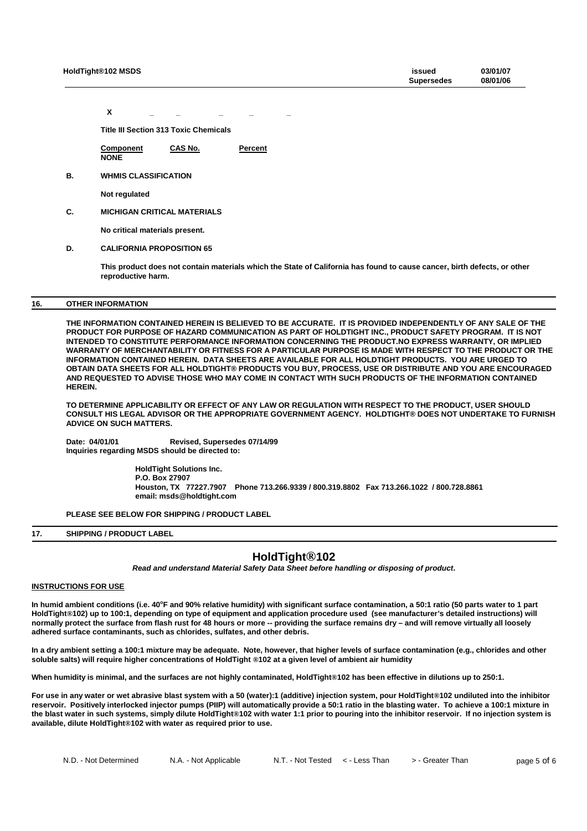| HoldTight®102 MSDS | issued<br><b>Supersedes</b> | 03/01/07<br>08/01/06 |
|--------------------|-----------------------------|----------------------|
|                    |                             |                      |

**X \_ \_ \_ \_ \_**

**Title III Section 313 Toxic Chemicals**

**Component CAS No. Percent NONE**

**B. WHMIS CLASSIFICATION**

**Not regulated**

**C. MICHIGAN CRITICAL MATERIALS**

**No critical materials present.**

# **D. CALIFORNIA PROPOSITION 65**

**This product does not contain materials which the State of California has found to cause cancer, birth defects, or other reproductive harm.**

# **16. OTHER INFORMATION**

**THE INFORMATION CONTAINED HEREIN IS BELIEVED TO BE ACCURATE. IT IS PROVIDED INDEPENDENTLY OF ANY SALE OF THE PRODUCT FOR PURPOSE OF HAZARD COMMUNICATION AS PART OF HOLDTIGHT INC., PRODUCT SAFETY PROGRAM. IT IS NOT INTENDED TO CONSTITUTE PERFORMANCE INFORMATION CONCERNING THE PRODUCT.NO EXPRESS WARRANTY, OR IMPLIED WARRANTY OF MERCHANTABILITY OR FITNESS FOR A PARTICULAR PURPOSE IS MADE WITH RESPECT TO THE PRODUCT OR THE INFORMATION CONTAINED HEREIN. DATA SHEETS ARE AVAILABLE FOR ALL HOLDTIGHT PRODUCTS. YOU ARE URGED TO OBTAIN DATA SHEETS FOR ALL HOLDTIGHT® PRODUCTS YOU BUY, PROCESS, USE OR DISTRIBUTE AND YOU ARE ENCOURAGED AND REQUESTED TO ADVISE THOSE WHO MAY COME IN CONTACT WITH SUCH PRODUCTS OF THE INFORMATION CONTAINED HEREIN.**

**TO DETERMINE APPLICABILITY OR EFFECT OF ANY LAW OR REGULATION WITH RESPECT TO THE PRODUCT, USER SHOULD CONSULT HIS LEGAL ADVISOR OR THE APPROPRIATE GOVERNMENT AGENCY. HOLDTIGHT® DOES NOT UNDERTAKE TO FURNISH ADVICE ON SUCH MATTERS.**

**Date: 04/01/01 Revised, Supersedes 07/14/99 Inquiries regarding MSDS should be directed to:**

> **HoldTight Solutions Inc. P.O. Box 27907 Houston, TX 77227.7907 Phone 713.266.9339 / 800.319.8802 Fax 713.266.1022 / 800.728.8861 email: msds@holdtight.com**

**PLEASE SEE BELOW FOR SHIPPING / PRODUCT LABEL**

# **17. SHIPPING / PRODUCT LABEL**

# **HoldTight®102**

*Read and understand Material Safety Data Sheet before handling or disposing of product***.**

# **INSTRUCTIONS FOR USE**

**In humid ambient conditions (i.e. 40<sup>o</sup>F and 90% relative humidity) with significant surface contamination, a 50:1 ratio (50 parts water to 1 part HoldTight®102) up to 100:1, depending on type of equipment and application procedure used (see manufacturer's detailed instructions) will normally protect the surface from flash rust for 48 hours or more -- providing the surface remains dry – and will remove virtually all loosely adhered surface contaminants, such as chlorides, sulfates, and other debris.**

**In a dry ambient setting a 100:1 mixture may be adequate. Note, however, that higher levels of surface contamination (e.g., chlorides and other soluble salts) will require higher concentrations of HoldTight ®102 at a given level of ambient air humidity**

**When humidity is minimal, and the surfaces are not highly contaminated, HoldTight®102 has been effective in dilutions up to 250:1.**

**For use in any water or wet abrasive blast system with a 50 (water):1 (additive) injection system, pour HoldTight®102 undiluted into the inhibitor reservoir. Positively interlocked injector pumps (PIIP) will automatically provide a 50:1 ratio in the blasting water. To achieve a 100:1 mixture in the blast water in such systems, simply dilute HoldTight®102 with water 1:1 prior to pouring into the inhibitor reservoir. If no injection system is available, dilute HoldTight®102 with water as required prior to use.**